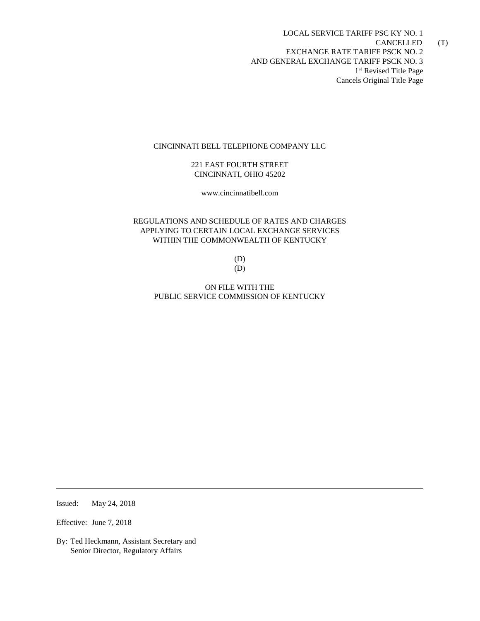LOCAL SERVICE TARIFF PSC KY NO. 1 CANCELLED (T) EXCHANGE RATE TARIFF PSCK NO. 2 AND GENERAL EXCHANGE TARIFF PSCK NO. 3 1<sup>st</sup> Revised Title Page Cancels Original Title Page

#### CINCINNATI BELL TELEPHONE COMPANY LLC

## 221 EAST FOURTH STREET CINCINNATI, OHIO 45202

www.cincinnatibell.com

# REGULATIONS AND SCHEDULE OF RATES AND CHARGES APPLYING TO CERTAIN LOCAL EXCHANGE SERVICES WITHIN THE COMMONWEALTH OF KENTUCKY

(D) (D)

ON FILE WITH THE PUBLIC SERVICE COMMISSION OF KENTUCKY

Issued: May 24, 2018

Effective: June 7, 2018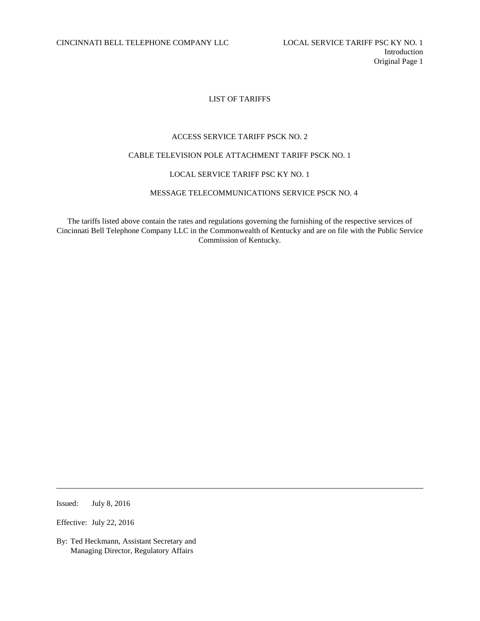# LIST OF TARIFFS

#### ACCESS SERVICE TARIFF PSCK NO. 2

## CABLE TELEVISION POLE ATTACHMENT TARIFF PSCK NO. 1

## LOCAL SERVICE TARIFF PSC KY NO. 1

### MESSAGE TELECOMMUNICATIONS SERVICE PSCK NO. 4

The tariffs listed above contain the rates and regulations governing the furnishing of the respective services of Cincinnati Bell Telephone Company LLC in the Commonwealth of Kentucky and are on file with the Public Service Commission of Kentucky.

Issued: July 8, 2016

Effective: July 22, 2016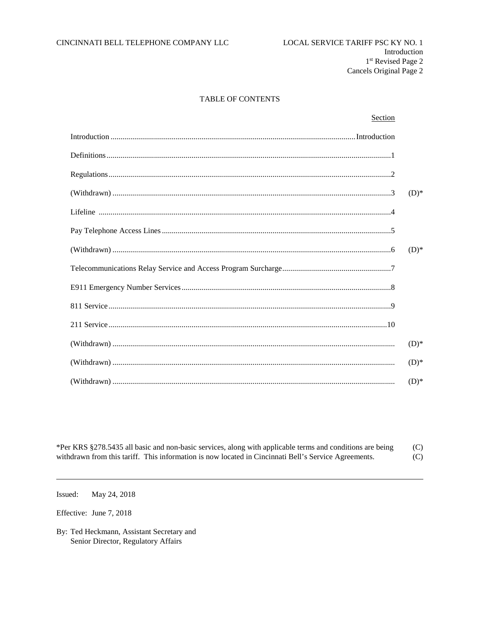## TABLE OF CONTENTS

| Section |         |
|---------|---------|
|         |         |
|         |         |
|         |         |
|         | $(D)*$  |
|         |         |
|         |         |
|         | $(D)*$  |
|         |         |
|         |         |
|         |         |
|         |         |
|         | $(D)$ * |
|         | $(D)*$  |
|         | $(D)*$  |

\*Per KRS §278.5435 all basic and non-basic services, along with applicable terms and conditions are being  $(C)$ withdrawn from this tariff. This information is now located in Cincinnati Bell's Service Agreements.  $(C)$ 

May 24, 2018 Issued:

Effective: June 7, 2018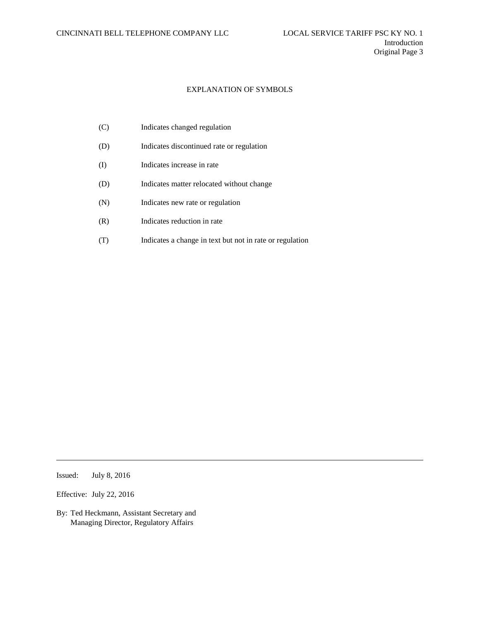### EXPLANATION OF SYMBOLS

- (C) Indicates changed regulation
- (D) Indicates discontinued rate or regulation
- (I) Indicates increase in rate
- (D) Indicates matter relocated without change
- (N) Indicates new rate or regulation
- (R) Indicates reduction in rate
- (T) Indicates a change in text but not in rate or regulation

Issued: July 8, 2016

Effective: July 22, 2016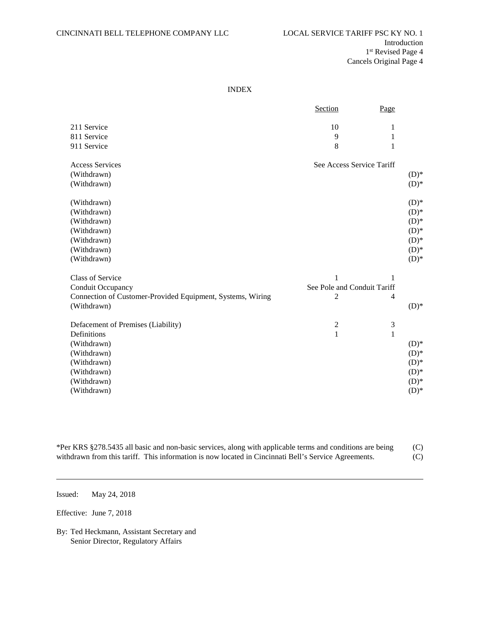INDEX

|                                                            | Section                     | Page         |         |
|------------------------------------------------------------|-----------------------------|--------------|---------|
| 211 Service                                                | 10                          | 1            |         |
| 811 Service                                                | 9                           | 1            |         |
| 911 Service                                                | 8                           | 1            |         |
| <b>Access Services</b>                                     | See Access Service Tariff   |              |         |
| (Withdrawn)                                                |                             |              | $(D)*$  |
| (Withdrawn)                                                |                             |              | $(D)*$  |
| (Withdrawn)                                                |                             |              | $(D)$ * |
| (Withdrawn)                                                |                             |              | $(D)*$  |
| (Withdrawn)                                                |                             |              | $(D)$ * |
| (Withdrawn)                                                |                             |              | $(D)*$  |
| (Withdrawn)                                                |                             |              | $(D)$ * |
| (Withdrawn)                                                |                             |              | $(D)*$  |
| (Withdrawn)                                                |                             |              | $(D)$ * |
| <b>Class of Service</b>                                    |                             | 1            |         |
| Conduit Occupancy                                          | See Pole and Conduit Tariff |              |         |
| Connection of Customer-Provided Equipment, Systems, Wiring | 2                           | 4            |         |
| (Withdrawn)                                                |                             |              | $(D)$ * |
| Defacement of Premises (Liability)                         | 2                           | 3            |         |
| Definitions                                                | $\mathbf{1}$                | $\mathbf{1}$ |         |
| (Withdrawn)                                                |                             |              | $(D)$ * |
| (Withdrawn)                                                |                             |              | $(D)$ * |
| (Withdrawn)                                                |                             |              | $(D)$ * |
| (Withdrawn)                                                |                             |              | $(D)$ * |
| (Withdrawn)                                                |                             |              | $(D)$ * |
| (Withdrawn)                                                |                             |              | $(D)$ * |

| *Per KRS §278.5435 all basic and non-basic services, along with applicable terms and conditions are being | (C) |
|-----------------------------------------------------------------------------------------------------------|-----|
| withdrawn from this tariff. This information is now located in Cincinnati Bell's Service Agreements.      | (C) |

Issued: May 24, 2018

Effective: June 7, 2018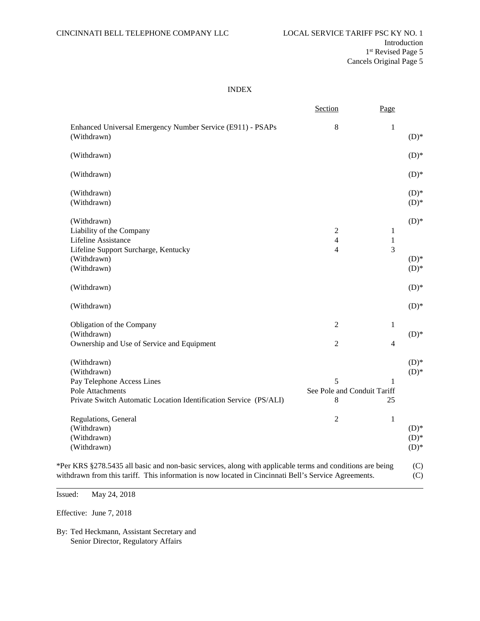#### INDEX

| Enhanced Universal Emergency Number Service (E911) - PSAPs<br>(Withdrawn) | 8                           | $\mathbf{1}$   |         |
|---------------------------------------------------------------------------|-----------------------------|----------------|---------|
|                                                                           |                             |                |         |
|                                                                           |                             |                | $(D)*$  |
| (Withdrawn)                                                               |                             |                | $(D)$ * |
| (Withdrawn)                                                               |                             |                | $(D)$ * |
| (Withdrawn)                                                               |                             |                | $(D)*$  |
| (Withdrawn)                                                               |                             |                | $(D)$ * |
| (Withdrawn)                                                               |                             |                | $(D)$ * |
| Liability of the Company                                                  | $\overline{2}$              | $\mathbf{1}$   |         |
| Lifeline Assistance                                                       | $\overline{4}$              | $\mathbf{1}$   |         |
| Lifeline Support Surcharge, Kentucky                                      | $\overline{4}$              | 3              |         |
| (Withdrawn)                                                               |                             |                | $(D)*$  |
| (Withdrawn)                                                               |                             |                | $(D)*$  |
| (Withdrawn)                                                               |                             |                | $(D)*$  |
| (Withdrawn)                                                               |                             |                | $(D)*$  |
| Obligation of the Company                                                 | $\overline{2}$              | $\mathbf{1}$   |         |
| (Withdrawn)                                                               |                             |                | $(D)*$  |
| Ownership and Use of Service and Equipment                                | $\overline{2}$              | $\overline{4}$ |         |
| (Withdrawn)                                                               |                             |                | $(D)*$  |
| (Withdrawn)                                                               |                             |                | $(D)$ * |
| Pay Telephone Access Lines                                                | 5                           | $\mathbf{1}$   |         |
| Pole Attachments                                                          | See Pole and Conduit Tariff |                |         |
| Private Switch Automatic Location Identification Service (PS/ALI)         | 8                           | 25             |         |
| Regulations, General                                                      | $\overline{2}$              | $\mathbf{1}$   |         |
| (Withdrawn)                                                               |                             |                | $(D)*$  |
| (Withdrawn)                                                               |                             |                | $(D)$ * |
| (Withdrawn)                                                               |                             |                | $(D)*$  |

Issued: May 24, 2018

Effective: June 7, 2018